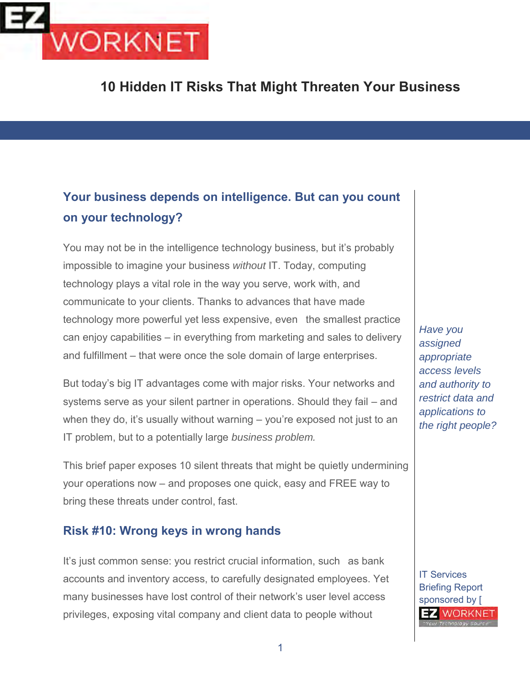

**10 Hidden IT Risks That Might Threaten Your Business**

## **Your business depends on intelligence. But can you count on your technology?**

You may not be in the intelligence technology business, but it's probably impossible to imagine your business *without* IT. Today, computing technology plays a vital role in the way you serve, work with, and communicate to your clients. Thanks to advances that have made technology more powerful yet less expensive, even the smallest practice can enjoy capabilities – in everything from marketing and sales to delivery and fulfillment – that were once the sole domain of large enterprises.

But today's big IT advantages come with major risks. Your networks and systems serve as your silent partner in operations. Should they fail – and when they do, it's usually without warning – you're exposed not just to an IT problem, but to a potentially large *business problem.*

This brief paper exposes 10 silent threats that might be quietly undermining your operations now – and proposes one quick, easy and FREE way to bring these threats under control, fast.

#### **Risk #10: Wrong keys in wrong hands**

It's just common sense: you restrict crucial information, such as bank accounts and inventory access, to carefully designated employees. Yet many businesses have lost control of their network's user level access privileges, exposing vital company and client data to people without

*Have you assigned appropriate access levels and authority to restrict data and applications to the right people?*

IT Services Briefing Report sponsored by [**EZ WORKNET**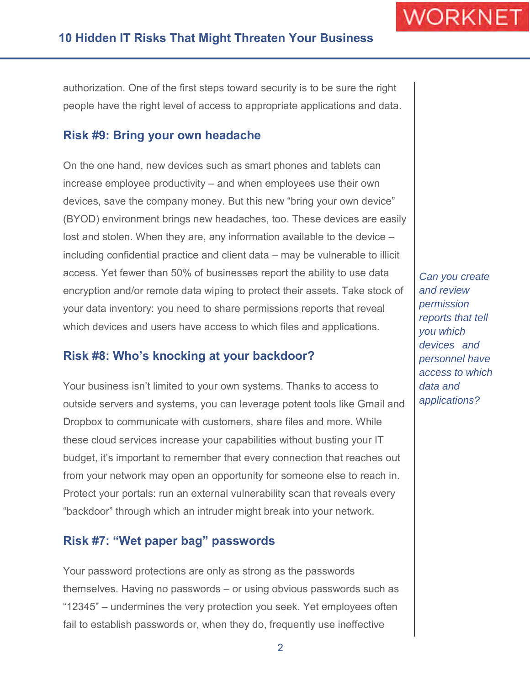authorization. One of the first steps toward security is to be sure the right people have the right level of access to appropriate applications and data.

#### **Risk #9: Bring your own headache**

On the one hand, new devices such as smart phones and tablets can increase employee productivity – and when employees use their own devices, save the company money. But this new "bring your own device" (BYOD) environment brings new headaches, too. These devices are easily lost and stolen. When they are, any information available to the device – including confidential practice and client data – may be vulnerable to illicit access. Yet fewer than 50% of businesses report the ability to use data encryption and/or remote data wiping to protect their assets. Take stock of your data inventory: you need to share permissions reports that reveal which devices and users have access to which files and applications.

#### **Risk #8: Who's knocking at your backdoor?**

Your business isn't limited to your own systems. Thanks to access to outside servers and systems, you can leverage potent tools like Gmail and Dropbox to communicate with customers, share files and more. While these cloud services increase your capabilities without busting your IT budget, it's important to remember that every connection that reaches out from your network may open an opportunity for someone else to reach in. Protect your portals: run an external vulnerability scan that reveals every "backdoor" through which an intruder might break into your network.

#### **Risk #7: "Wet paper bag" passwords**

Your password protections are only as strong as the passwords themselves. Having no passwords – or using obvious passwords such as "12345" – undermines the very protection you seek. Yet employees often fail to establish passwords or, when they do, frequently use ineffective

*Can you create and review permission reports that tell you which devices and personnel have access to which data and applications?*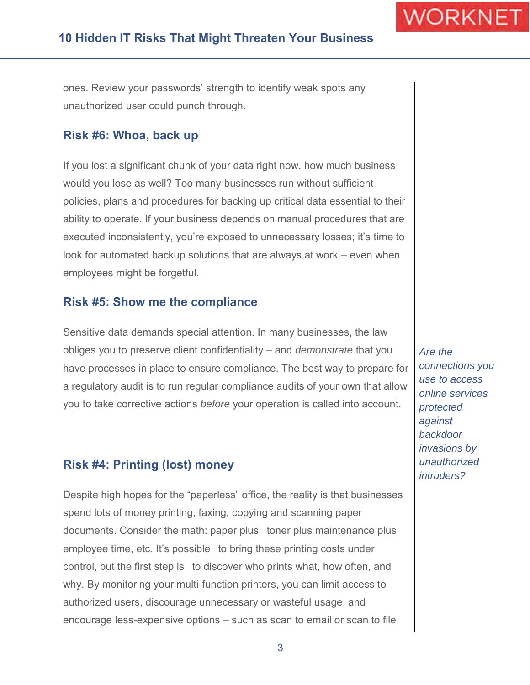ones. Review your passwords' strength to identify weak spots any unauthorized user could punch through.

#### **Risk #6: Whoa, back up**

If you lost a significant chunk of your data right now, how much business would you lose as well? Too many businesses run without sufficient policies, plans and procedures for backing up critical data essential to their ability to operate. If your business depends on manual procedures that are executed inconsistently, you're exposed to unnecessary losses; it's time to look for automated backup solutions that are always at work – even when employees might be forgetful.

#### **Risk #5: Show me the compliance**

Sensitive data demands special attention. In many businesses, the law obliges you to preserve client confidentiality – and *demonstrate* that you have processes in place to ensure compliance. The best way to prepare for a regulatory audit is to run regular compliance audits of your own that allow you to take corrective actions *before* your operation is called into account.

#### **Risk #4: Printing (lost) money**

Despite high hopes for the "paperless" office, the reality is that businesses spend lots of money printing, faxing, copying and scanning paper documents. Consider the math: paper plus toner plus maintenance plus employee time, etc. It's possible to bring these printing costs under control, but the first step is to discover who prints what, how often, and why. By monitoring your multi-function printers, you can limit access to authorized users, discourage unnecessary or wasteful usage, and encourage less-expensive options – such as scan to email or scan to file

*Are the connections you use to access online services protected against backdoor invasions by unauthorized intruders?*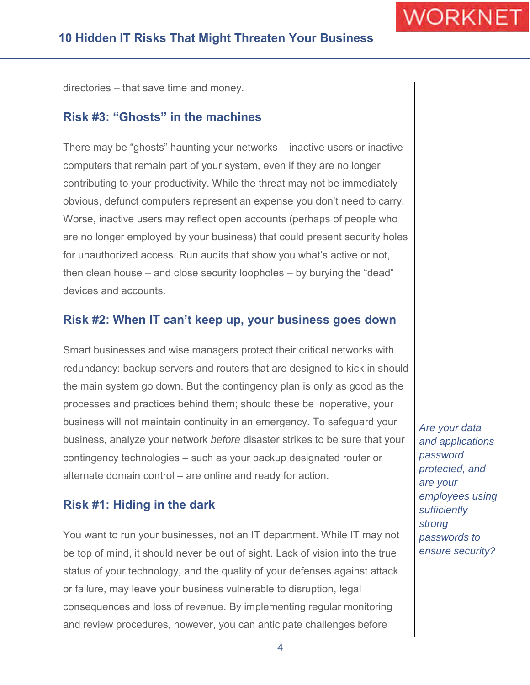directories – that save time and money.

#### **Risk #3: "Ghosts" in the machines**

There may be "ghosts" haunting your networks – inactive users or inactive computers that remain part of your system, even if they are no longer contributing to your productivity. While the threat may not be immediately obvious, defunct computers represent an expense you don't need to carry. Worse, inactive users may reflect open accounts (perhaps of people who are no longer employed by your business) that could present security holes for unauthorized access. Run audits that show you what's active or not, then clean house – and close security loopholes – by burying the "dead" devices and accounts.

#### **Risk #2: When IT can't keep up, your business goes down**

Smart businesses and wise managers protect their critical networks with redundancy: backup servers and routers that are designed to kick in should the main system go down. But the contingency plan is only as good as the processes and practices behind them; should these be inoperative, your business will not maintain continuity in an emergency. To safeguard your business, analyze your network *before* disaster strikes to be sure that your contingency technologies – such as your backup designated router or alternate domain control – are online and ready for action.

#### **Risk #1: Hiding in the dark**

You want to run your businesses, not an IT department. While IT may not be top of mind, it should never be out of sight. Lack of vision into the true status of your technology, and the quality of your defenses against attack or failure, may leave your business vulnerable to disruption, legal consequences and loss of revenue. By implementing regular monitoring and review procedures, however, you can anticipate challenges before

*Are your data and applications password protected, and are your employees using sufficiently strong passwords to ensure security?*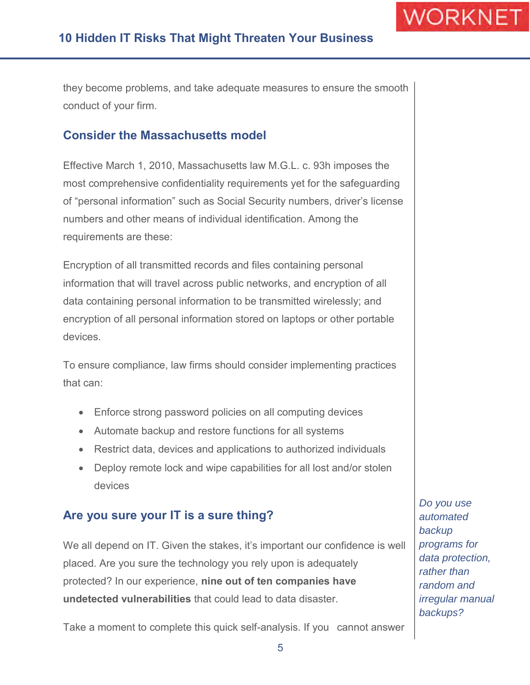they become problems, and take adequate measures to ensure the smooth conduct of your firm.

#### **Consider the Massachusetts model**

Effective March 1, 2010, Massachusetts law M.G.L. c. 93h imposes the most comprehensive confidentiality requirements yet for the safeguarding of "personal information" such as Social Security numbers, driver's license numbers and other means of individual identification. Among the requirements are these:

Encryption of all transmitted records and files containing personal information that will travel across public networks, and encryption of all data containing personal information to be transmitted wirelessly; and encryption of all personal information stored on laptops or other portable devices.

To ensure compliance, law firms should consider implementing practices that can:

- Enforce strong password policies on all computing devices
- Automate backup and restore functions for all systems
- Restrict data, devices and applications to authorized individuals
- Deploy remote lock and wipe capabilities for all lost and/or stolen devices

#### **Are you sure your IT is a sure thing?**

We all depend on IT. Given the stakes, it's important our confidence is well placed. Are you sure the technology you rely upon is adequately protected? In our experience, **nine out of ten companies have undetected vulnerabilities** that could lead to data disaster.

Take a moment to complete this quick self-analysis. If you cannot answer

*Do you use automated backup programs for data protection, rather than random and irregular manual backups?*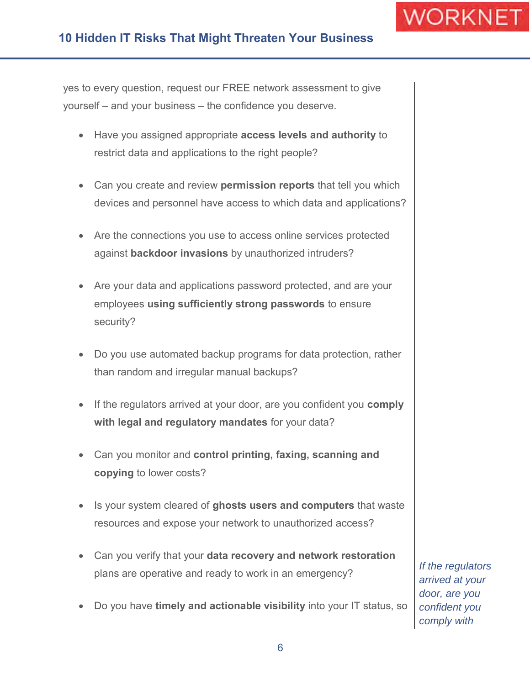## **10 Hidden IT Risks That Might Threaten Your Business**

yes to every question, request our FREE network assessment to give yourself – and your business – the confidence you deserve.

- Have you assigned appropriate **access levels and authority** to restrict data and applications to the right people?
- Can you create and review **permission reports** that tell you which devices and personnel have access to which data and applications?
- Are the connections you use to access online services protected against **backdoor invasions** by unauthorized intruders?
- Are your data and applications password protected, and are your employees **using sufficiently strong passwords** to ensure security?
- Do you use automated backup programs for data protection, rather than random and irregular manual backups?
- If the regulators arrived at your door, are you confident you **comply with legal and regulatory mandates** for your data?
- Can you monitor and **control printing, faxing, scanning and copying** to lower costs?
- Is your system cleared of **ghosts users and computers** that waste resources and expose your network to unauthorized access?
- Can you verify that your **data recovery and network restoration**  plans are operative and ready to work in an emergency?
- Do you have **timely and actionable visibility** into your IT status, so

*If the regulators arrived at your door, are you confident you comply with*